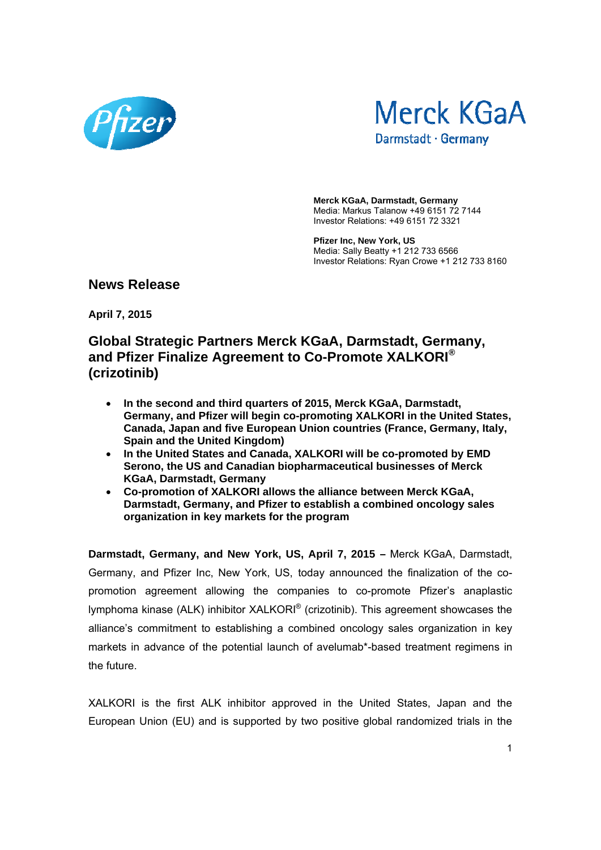



**Merck KGaA, Darmstadt, Germany**  Media: Markus Talanow +49 6151 72 7144 Investor Relations: +49 6151 72 3321

**Pfizer Inc, New York, US**  Media: Sally Beatty +1 212 733 6566 Investor Relations: Ryan Crowe +1 212 733 8160

**News Release** 

**April 7, 2015** 

## **Global Strategic Partners Merck KGaA, Darmstadt, Germany, and Pfizer Finalize Agreement to Co-Promote XALKORI® (crizotinib)**

- **In the second and third quarters of 2015, Merck KGaA, Darmstadt, Germany, and Pfizer will begin co-promoting XALKORI in the United States, Canada, Japan and five European Union countries (France, Germany, Italy, Spain and the United Kingdom)**
- **In the United States and Canada, XALKORI will be co-promoted by EMD Serono, the US and Canadian biopharmaceutical businesses of Merck KGaA, Darmstadt, Germany**
- **Co-promotion of XALKORI allows the alliance between Merck KGaA, Darmstadt, Germany, and Pfizer to establish a combined oncology sales organization in key markets for the program**

**Darmstadt, Germany, and New York, US, April 7, 2015 –** Merck KGaA, Darmstadt, Germany, and Pfizer Inc, New York, US, today announced the finalization of the copromotion agreement allowing the companies to co-promote Pfizer's anaplastic lymphoma kinase (ALK) inhibitor XALKORI® (crizotinib). This agreement showcases the alliance's commitment to establishing a combined oncology sales organization in key markets in advance of the potential launch of avelumab\*-based treatment regimens in the future.

XALKORI is the first ALK inhibitor approved in the United States, Japan and the European Union (EU) and is supported by two positive global randomized trials in the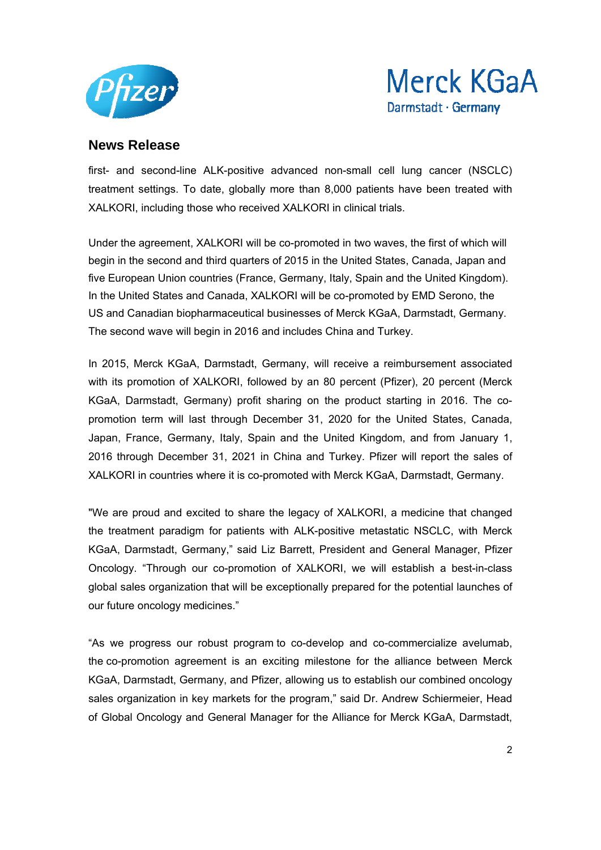



first- and second-line ALK-positive advanced non-small cell lung cancer (NSCLC) treatment settings. To date, globally more than 8,000 patients have been treated with XALKORI, including those who received XALKORI in clinical trials.

Under the agreement, XALKORI will be co-promoted in two waves, the first of which will begin in the second and third quarters of 2015 in the United States, Canada, Japan and five European Union countries (France, Germany, Italy, Spain and the United Kingdom). In the United States and Canada, XALKORI will be co-promoted by EMD Serono, the US and Canadian biopharmaceutical businesses of Merck KGaA, Darmstadt, Germany. The second wave will begin in 2016 and includes China and Turkey.

In 2015, Merck KGaA, Darmstadt, Germany, will receive a reimbursement associated with its promotion of XALKORI, followed by an 80 percent (Pfizer), 20 percent (Merck KGaA, Darmstadt, Germany) profit sharing on the product starting in 2016. The copromotion term will last through December 31, 2020 for the United States, Canada, Japan, France, Germany, Italy, Spain and the United Kingdom, and from January 1, 2016 through December 31, 2021 in China and Turkey. Pfizer will report the sales of XALKORI in countries where it is co-promoted with Merck KGaA, Darmstadt, Germany.

"We are proud and excited to share the legacy of XALKORI, a medicine that changed the treatment paradigm for patients with ALK-positive metastatic NSCLC, with Merck KGaA, Darmstadt, Germany," said Liz Barrett, President and General Manager, Pfizer Oncology. "Through our co-promotion of XALKORI, we will establish a best-in-class global sales organization that will be exceptionally prepared for the potential launches of our future oncology medicines."

"As we progress our robust program to co-develop and co-commercialize avelumab, the co-promotion agreement is an exciting milestone for the alliance between Merck KGaA, Darmstadt, Germany, and Pfizer, allowing us to establish our combined oncology sales organization in key markets for the program," said Dr. Andrew Schiermeier, Head of Global Oncology and General Manager for the Alliance for Merck KGaA, Darmstadt,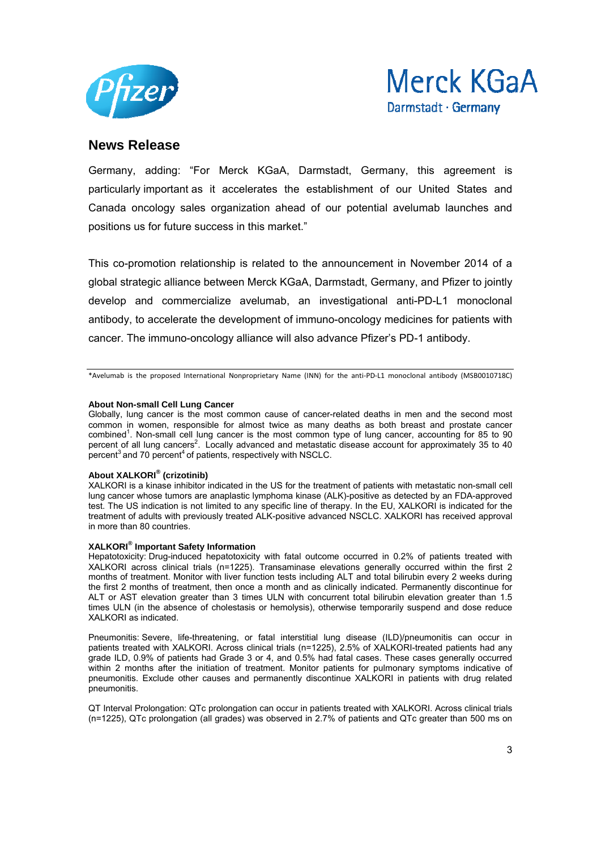



Germany, adding: "For Merck KGaA, Darmstadt, Germany, this agreement is particularly important as it accelerates the establishment of our United States and Canada oncology sales organization ahead of our potential avelumab launches and positions us for future success in this market."

This co-promotion relationship is related to the announcement in November 2014 of a global strategic alliance between Merck KGaA, Darmstadt, Germany, and Pfizer to jointly develop and commercialize avelumab, an investigational anti-PD-L1 monoclonal antibody, to accelerate the development of immuno-oncology medicines for patients with cancer. The immuno-oncology alliance will also advance Pfizer's PD-1 antibody.

\*Avelumab is the proposed International Nonproprietary Name (INN) for the anti‐PD‐L1 monoclonal antibody (MSB0010718C)

#### **About Non-small Cell Lung Cancer**

Globally, lung cancer is the most common cause of cancer-related deaths in men and the second most common in women, responsible for almost twice as many deaths as both breast and prostate cancer combined<sup>1</sup>. Non-small cell lung cancer is the most common type of lung cancer, accounting for 85 to 90 percent of all lung cancers<sup>2</sup>. Locally advanced and metastatic disease account for approximately 35 to 40 percent<sup>3</sup> and 70 percent<sup>4</sup> of patients, respectively with NSCLC.

#### **About XALKORI® (crizotinib)**

XALKORI is a kinase inhibitor indicated in the US for the treatment of patients with metastatic non-small cell lung cancer whose tumors are anaplastic lymphoma kinase (ALK)-positive as detected by an FDA-approved test. The US indication is not limited to any specific line of therapy. In the EU, XALKORI is indicated for the treatment of adults with previously treated ALK-positive advanced NSCLC. XALKORI has received approval in more than 80 countries.

#### **XALKORI® Important Safety Information**

Hepatotoxicity: Drug-induced hepatotoxicity with fatal outcome occurred in 0.2% of patients treated with XALKORI across clinical trials (n=1225). Transaminase elevations generally occurred within the first 2 months of treatment. Monitor with liver function tests including ALT and total bilirubin every 2 weeks during the first 2 months of treatment, then once a month and as clinically indicated. Permanently discontinue for ALT or AST elevation greater than 3 times ULN with concurrent total bilirubin elevation greater than 1.5 times ULN (in the absence of cholestasis or hemolysis), otherwise temporarily suspend and dose reduce XALKORI as indicated.

Pneumonitis: Severe, life-threatening, or fatal interstitial lung disease (ILD)/pneumonitis can occur in patients treated with XALKORI. Across clinical trials (n=1225), 2.5% of XALKORI-treated patients had any grade ILD, 0.9% of patients had Grade 3 or 4, and 0.5% had fatal cases. These cases generally occurred within 2 months after the initiation of treatment. Monitor patients for pulmonary symptoms indicative of pneumonitis. Exclude other causes and permanently discontinue XALKORI in patients with drug related pneumonitis.

QT Interval Prolongation: QTc prolongation can occur in patients treated with XALKORI. Across clinical trials (n=1225), QTc prolongation (all grades) was observed in 2.7% of patients and QTc greater than 500 ms on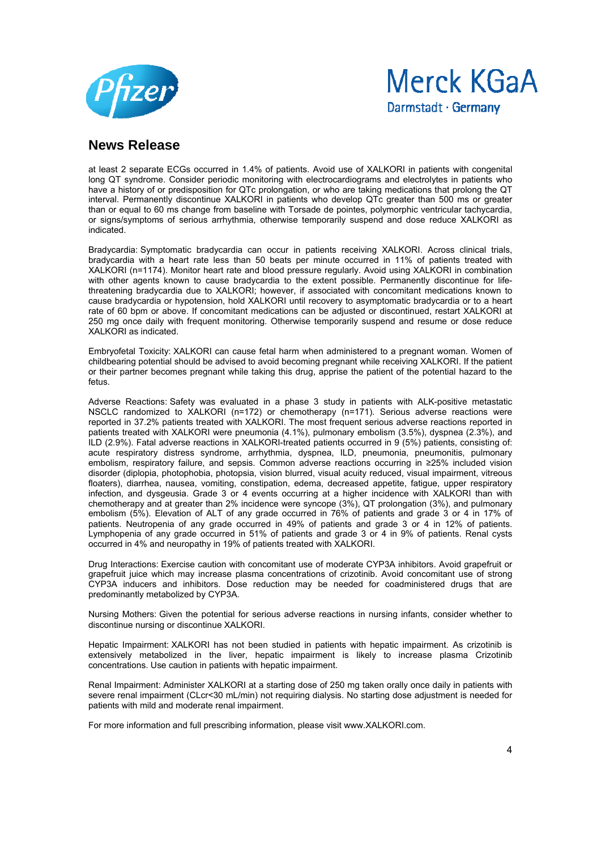



at least 2 separate ECGs occurred in 1.4% of patients. Avoid use of XALKORI in patients with congenital long QT syndrome. Consider periodic monitoring with electrocardiograms and electrolytes in patients who have a history of or predisposition for QTc prolongation, or who are taking medications that prolong the QT interval. Permanently discontinue XALKORI in patients who develop QTc greater than 500 ms or greater than or equal to 60 ms change from baseline with Torsade de pointes, polymorphic ventricular tachycardia, or signs/symptoms of serious arrhythmia, otherwise temporarily suspend and dose reduce XALKORI as indicated.

Bradycardia: Symptomatic bradycardia can occur in patients receiving XALKORI. Across clinical trials, bradycardia with a heart rate less than 50 beats per minute occurred in 11% of patients treated with XALKORI (n=1174). Monitor heart rate and blood pressure regularly. Avoid using XALKORI in combination with other agents known to cause bradycardia to the extent possible. Permanently discontinue for lifethreatening bradycardia due to XALKORI; however, if associated with concomitant medications known to cause bradycardia or hypotension, hold XALKORI until recovery to asymptomatic bradycardia or to a heart rate of 60 bpm or above. If concomitant medications can be adjusted or discontinued, restart XALKORI at 250 mg once daily with frequent monitoring. Otherwise temporarily suspend and resume or dose reduce XALKORI as indicated.

Embryofetal Toxicity: XALKORI can cause fetal harm when administered to a pregnant woman. Women of childbearing potential should be advised to avoid becoming pregnant while receiving XALKORI. If the patient or their partner becomes pregnant while taking this drug, apprise the patient of the potential hazard to the fetus.

Adverse Reactions: Safety was evaluated in a phase 3 study in patients with ALK-positive metastatic NSCLC randomized to XALKORI (n=172) or chemotherapy (n=171). Serious adverse reactions were reported in 37.2% patients treated with XALKORI. The most frequent serious adverse reactions reported in patients treated with XALKORI were pneumonia (4.1%), pulmonary embolism (3.5%), dyspnea (2.3%), and ILD (2.9%). Fatal adverse reactions in XALKORI-treated patients occurred in 9 (5%) patients, consisting of: acute respiratory distress syndrome, arrhythmia, dyspnea, ILD, pneumonia, pneumonitis, pulmonary embolism, respiratory failure, and sepsis. Common adverse reactions occurring in ≥25% included vision disorder (diplopia, photophobia, photopsia, vision blurred, visual acuity reduced, visual impairment, vitreous floaters), diarrhea, nausea, vomiting, constipation, edema, decreased appetite, fatigue, upper respiratory infection, and dysgeusia. Grade 3 or 4 events occurring at a higher incidence with XALKORI than with chemotherapy and at greater than 2% incidence were syncope (3%), QT prolongation (3%), and pulmonary embolism (5%). Elevation of ALT of any grade occurred in 76% of patients and grade 3 or 4 in 17% of patients. Neutropenia of any grade occurred in 49% of patients and grade 3 or 4 in 12% of patients. Lymphopenia of any grade occurred in 51% of patients and grade 3 or 4 in 9% of patients. Renal cysts occurred in 4% and neuropathy in 19% of patients treated with XALKORI.

Drug Interactions: Exercise caution with concomitant use of moderate CYP3A inhibitors. Avoid grapefruit or grapefruit juice which may increase plasma concentrations of crizotinib. Avoid concomitant use of strong CYP3A inducers and inhibitors. Dose reduction may be needed for coadministered drugs that are predominantly metabolized by CYP3A.

Nursing Mothers: Given the potential for serious adverse reactions in nursing infants, consider whether to discontinue nursing or discontinue XALKORI.

Hepatic Impairment: XALKORI has not been studied in patients with hepatic impairment. As crizotinib is extensively metabolized in the liver, hepatic impairment is likely to increase plasma Crizotinib concentrations. Use caution in patients with hepatic impairment.

Renal Impairment: Administer XALKORI at a starting dose of 250 mg taken orally once daily in patients with severe renal impairment (CLcr<30 mL/min) not requiring dialysis. No starting dose adjustment is needed for patients with mild and moderate renal impairment.

For more information and full prescribing information, please visit www.XALKORI.com.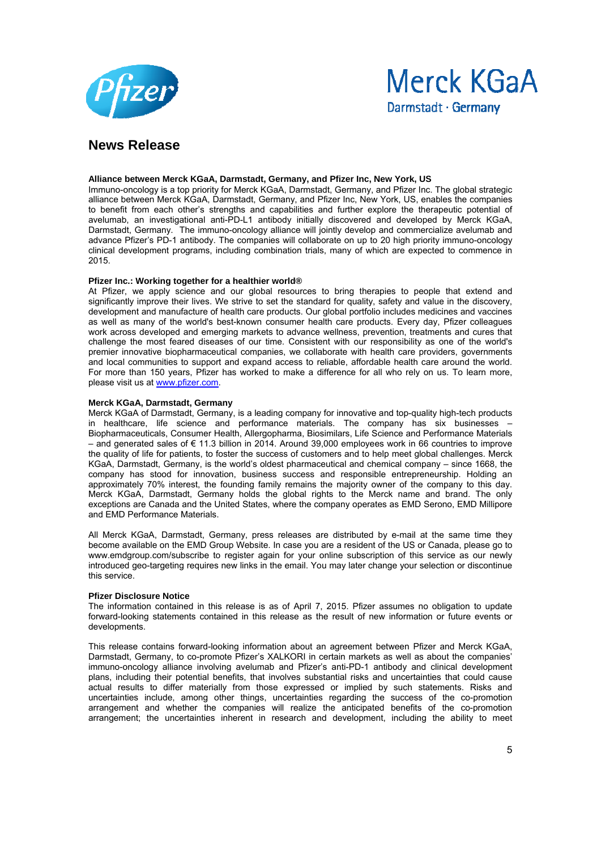



#### **Alliance between Merck KGaA, Darmstadt, Germany, and Pfizer Inc, New York, US**

Immuno-oncology is a top priority for Merck KGaA, Darmstadt, Germany, and Pfizer Inc. The global strategic alliance between Merck KGaA, Darmstadt, Germany, and Pfizer Inc, New York, US, enables the companies to benefit from each other's strengths and capabilities and further explore the therapeutic potential of avelumab, an investigational anti-PD-L1 antibody initially discovered and developed by Merck KGaA, Darmstadt, Germany. The immuno-oncology alliance will jointly develop and commercialize avelumab and advance Pfizer's PD-1 antibody. The companies will collaborate on up to 20 high priority immuno-oncology clinical development programs, including combination trials, many of which are expected to commence in 2015.

#### **Pfizer Inc.: Working together for a healthier world®**

At Pfizer, we apply science and our global resources to bring therapies to people that extend and significantly improve their lives. We strive to set the standard for quality, safety and value in the discovery, development and manufacture of health care products. Our global portfolio includes medicines and vaccines as well as many of the world's best-known consumer health care products. Every day, Pfizer colleagues work across developed and emerging markets to advance wellness, prevention, treatments and cures that challenge the most feared diseases of our time. Consistent with our responsibility as one of the world's premier innovative biopharmaceutical companies, we collaborate with health care providers, governments and local communities to support and expand access to reliable, affordable health care around the world. For more than 150 years, Pfizer has worked to make a difference for all who rely on us. To learn more, please visit us at www.pfizer.com.

#### **Merck KGaA, Darmstadt, Germany**

Merck KGaA of Darmstadt, Germany, is a leading company for innovative and top-quality high-tech products in healthcare, life science and performance materials. The company has six businesses – Biopharmaceuticals, Consumer Health, Allergopharma, Biosimilars, Life Science and Performance Materials – and generated sales of € 11.3 billion in 2014. Around 39,000 employees work in 66 countries to improve the quality of life for patients, to foster the success of customers and to help meet global challenges. Merck KGaA, Darmstadt, Germany, is the world's oldest pharmaceutical and chemical company – since 1668, the company has stood for innovation, business success and responsible entrepreneurship. Holding an approximately 70% interest, the founding family remains the majority owner of the company to this day. Merck KGaA, Darmstadt, Germany holds the global rights to the Merck name and brand. The only exceptions are Canada and the United States, where the company operates as EMD Serono, EMD Millipore and EMD Performance Materials.

All Merck KGaA, Darmstadt, Germany, press releases are distributed by e-mail at the same time they become available on the EMD Group Website. In case you are a resident of the US or Canada, please go to www.emdgroup.com/subscribe to register again for your online subscription of this service as our newly introduced geo-targeting requires new links in the email. You may later change your selection or discontinue this service.

#### **Pfizer Disclosure Notice**

The information contained in this release is as of April 7, 2015. Pfizer assumes no obligation to update forward-looking statements contained in this release as the result of new information or future events or developments.

This release contains forward-looking information about an agreement between Pfizer and Merck KGaA, Darmstadt, Germany, to co-promote Pfizer's XALKORI in certain markets as well as about the companies' immuno-oncology alliance involving avelumab and Pfizer's anti-PD-1 antibody and clinical development plans, including their potential benefits, that involves substantial risks and uncertainties that could cause actual results to differ materially from those expressed or implied by such statements. Risks and uncertainties include, among other things, uncertainties regarding the success of the co-promotion arrangement and whether the companies will realize the anticipated benefits of the co-promotion arrangement; the uncertainties inherent in research and development, including the ability to meet